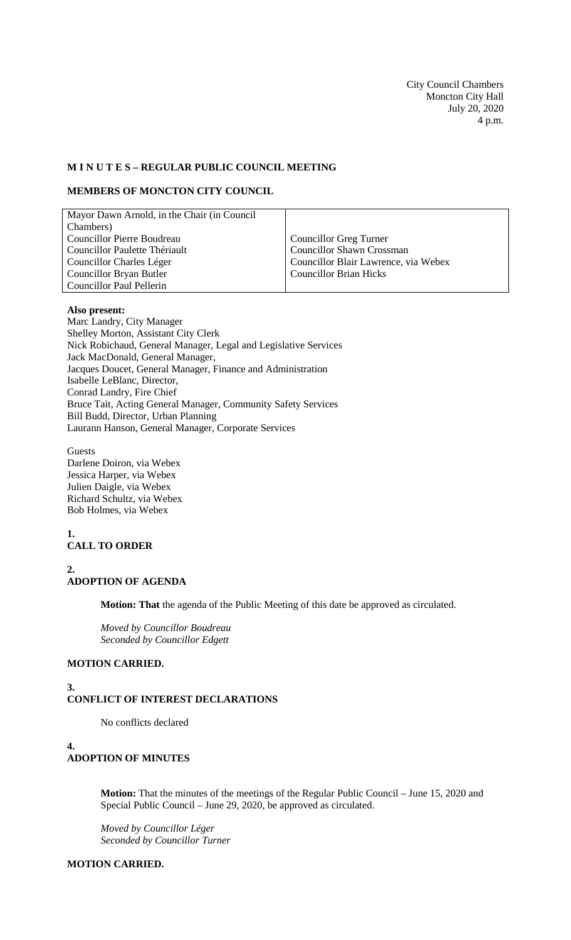City Council Chambers Moncton City Hall July 20, 2020 4 p.m.

### **M I N U T E S – REGULAR PUBLIC COUNCIL MEETING**

#### **MEMBERS OF MONCTON CITY COUNCIL**

| Councillor Greg Turner               |
|--------------------------------------|
| <b>Councillor Shawn Crossman</b>     |
| Councillor Blair Lawrence, via Webex |
| <b>Councillor Brian Hicks</b>        |
|                                      |
|                                      |

#### **Also present:**

Marc Landry, City Manager Shelley Morton, Assistant City Clerk Nick Robichaud, General Manager, Legal and Legislative Services Jack MacDonald, General Manager, Jacques Doucet, General Manager, Finance and Administration Isabelle LeBlanc, Director, Conrad Landry, Fire Chief Bruce Tait, Acting General Manager, Community Safety Services Bill Budd, Director, Urban Planning Laurann Hanson, General Manager, Corporate Services

**Guests** Darlene Doiron, via Webex Jessica Harper, via Webex Julien Daigle, via Webex Richard Schultz, via Webex Bob Holmes, via Webex

## **1. CALL TO ORDER**

**2.**

**3.**

## **ADOPTION OF AGENDA**

**Motion: That** the agenda of the Public Meeting of this date be approved as circulated.

*Moved by Councillor Boudreau Seconded by Councillor Edgett*

#### **MOTION CARRIED.**

# **CONFLICT OF INTEREST DECLARATIONS**

No conflicts declared

**4. ADOPTION OF MINUTES**

> **Motion:** That the minutes of the meetings of the Regular Public Council – June 15, 2020 and Special Public Council – June 29, 2020, be approved as circulated.

*Moved by Councillor Léger Seconded by Councillor Turner*

### **MOTION CARRIED.**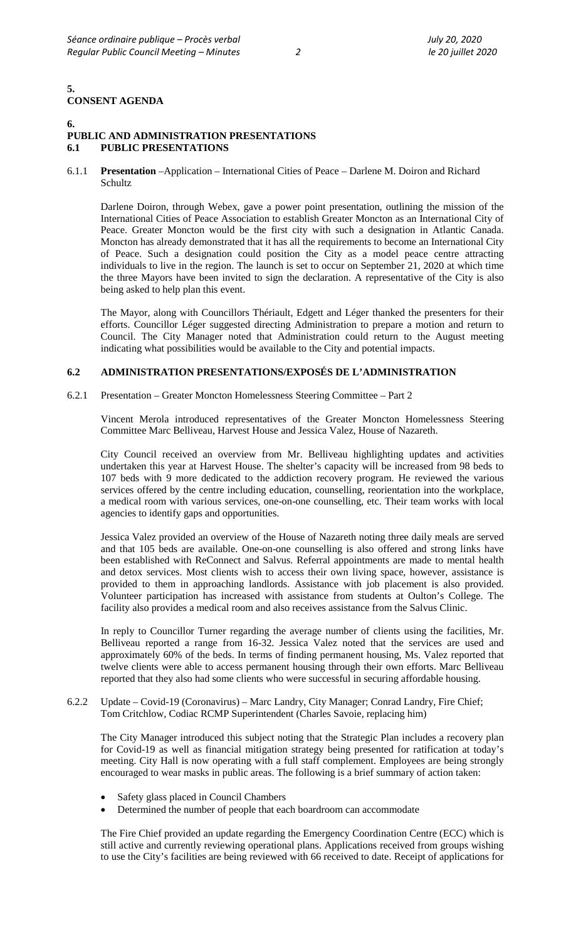### **5. CONSENT AGENDA**

#### **6.** PUBLIC AND ADMINISTRATION PRESENTATIONS<br>6.1 PUBLIC PRESENTATIONS **6.1 PUBLIC PRESENTATIONS**

#### 6.1.1 **Presentation** –Application – International Cities of Peace – Darlene M. Doiron and Richard **Schultz**

Darlene Doiron, through Webex, gave a power point presentation, outlining the mission of the International Cities of Peace Association to establish Greater Moncton as an International City of Peace. Greater Moncton would be the first city with such a designation in Atlantic Canada. Moncton has already demonstrated that it has all the requirements to become an International City of Peace. Such a designation could position the City as a model peace centre attracting individuals to live in the region. The launch is set to occur on September 21, 2020 at which time the three Mayors have been invited to sign the declaration. A representative of the City is also being asked to help plan this event.

The Mayor, along with Councillors Thériault, Edgett and Léger thanked the presenters for their efforts. Councillor Léger suggested directing Administration to prepare a motion and return to Council. The City Manager noted that Administration could return to the August meeting indicating what possibilities would be available to the City and potential impacts.

### **6.2 ADMINISTRATION PRESENTATIONS/EXPOSÉS DE L'ADMINISTRATION**

6.2.1 Presentation – Greater Moncton Homelessness Steering Committee – Part 2

Vincent Merola introduced representatives of the Greater Moncton Homelessness Steering Committee Marc Belliveau, Harvest House and Jessica Valez, House of Nazareth.

City Council received an overview from Mr. Belliveau highlighting updates and activities undertaken this year at Harvest House. The shelter's capacity will be increased from 98 beds to 107 beds with 9 more dedicated to the addiction recovery program. He reviewed the various services offered by the centre including education, counselling, reorientation into the workplace, a medical room with various services, one-on-one counselling, etc. Their team works with local agencies to identify gaps and opportunities.

Jessica Valez provided an overview of the House of Nazareth noting three daily meals are served and that 105 beds are available. One-on-one counselling is also offered and strong links have been established with ReConnect and Salvus. Referral appointments are made to mental health and detox services. Most clients wish to access their own living space, however, assistance is provided to them in approaching landlords. Assistance with job placement is also provided. Volunteer participation has increased with assistance from students at Oulton's College. The facility also provides a medical room and also receives assistance from the Salvus Clinic.

In reply to Councillor Turner regarding the average number of clients using the facilities, Mr. Belliveau reported a range from 16-32. Jessica Valez noted that the services are used and approximately 60% of the beds. In terms of finding permanent housing, Ms. Valez reported that twelve clients were able to access permanent housing through their own efforts. Marc Belliveau reported that they also had some clients who were successful in securing affordable housing.

6.2.2 Update – Covid-19 (Coronavirus) – Marc Landry, City Manager; Conrad Landry, Fire Chief; Tom Critchlow, Codiac RCMP Superintendent (Charles Savoie, replacing him)

The City Manager introduced this subject noting that the Strategic Plan includes a recovery plan for Covid-19 as well as financial mitigation strategy being presented for ratification at today's meeting. City Hall is now operating with a full staff complement. Employees are being strongly encouraged to wear masks in public areas. The following is a brief summary of action taken:

- Safety glass placed in Council Chambers
- Determined the number of people that each boardroom can accommodate

The Fire Chief provided an update regarding the Emergency Coordination Centre (ECC) which is still active and currently reviewing operational plans. Applications received from groups wishing to use the City's facilities are being reviewed with 66 received to date. Receipt of applications for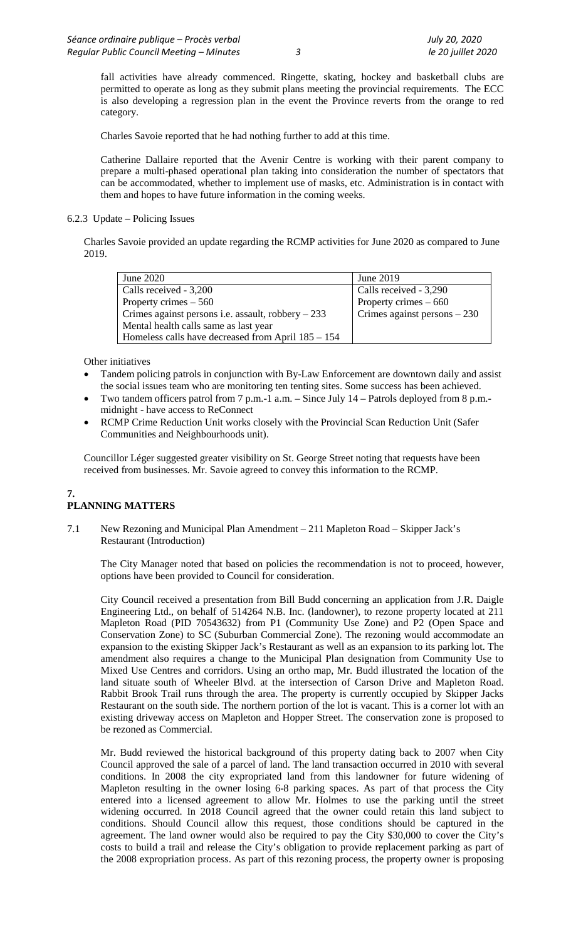fall activities have already commenced. Ringette, skating, hockey and basketball clubs are permitted to operate as long as they submit plans meeting the provincial requirements. The ECC is also developing a regression plan in the event the Province reverts from the orange to red category.

Charles Savoie reported that he had nothing further to add at this time.

Catherine Dallaire reported that the Avenir Centre is working with their parent company to prepare a multi-phased operational plan taking into consideration the number of spectators that can be accommodated, whether to implement use of masks, etc. Administration is in contact with them and hopes to have future information in the coming weeks.

### 6.2.3 Update – Policing Issues

Charles Savoie provided an update regarding the RCMP activities for June 2020 as compared to June 2019.

| June 2020                                           | June 2019                     |
|-----------------------------------------------------|-------------------------------|
| Calls received - 3,200                              | Calls received - 3,290        |
| Property crimes $-560$                              | Property crimes $-660$        |
| Crimes against persons i.e. assault, robbery $-233$ | Crimes against persons $-230$ |
| Mental health calls same as last year               |                               |
| Homeless calls have decreased from April 185 – 154  |                               |

Other initiatives

- Tandem policing patrols in conjunction with By-Law Enforcement are downtown daily and assist the social issues team who are monitoring ten tenting sites. Some success has been achieved.
- Two tandem officers patrol from 7 p.m.-1 a.m. Since July 14 Patrols deployed from 8 p.m. midnight - have access to ReConnect
- RCMP Crime Reduction Unit works closely with the Provincial Scan Reduction Unit (Safer Communities and Neighbourhoods unit).

Councillor Léger suggested greater visibility on St. George Street noting that requests have been received from businesses. Mr. Savoie agreed to convey this information to the RCMP.

## **7. PLANNING MATTERS**

7.1 New Rezoning and Municipal Plan Amendment – 211 Mapleton Road – Skipper Jack's Restaurant (Introduction)

The City Manager noted that based on policies the recommendation is not to proceed, however, options have been provided to Council for consideration.

City Council received a presentation from Bill Budd concerning an application from J.R. Daigle Engineering Ltd., on behalf of 514264 N.B. Inc. (landowner), to rezone property located at 211 Mapleton Road (PID 70543632) from P1 (Community Use Zone) and P2 (Open Space and Conservation Zone) to SC (Suburban Commercial Zone). The rezoning would accommodate an expansion to the existing Skipper Jack's Restaurant as well as an expansion to its parking lot. The amendment also requires a change to the Municipal Plan designation from Community Use to Mixed Use Centres and corridors. Using an ortho map, Mr. Budd illustrated the location of the land situate south of Wheeler Blvd. at the intersection of Carson Drive and Mapleton Road. Rabbit Brook Trail runs through the area. The property is currently occupied by Skipper Jacks Restaurant on the south side. The northern portion of the lot is vacant. This is a corner lot with an existing driveway access on Mapleton and Hopper Street. The conservation zone is proposed to be rezoned as Commercial.

Mr. Budd reviewed the historical background of this property dating back to 2007 when City Council approved the sale of a parcel of land. The land transaction occurred in 2010 with several conditions. In 2008 the city expropriated land from this landowner for future widening of Mapleton resulting in the owner losing 6-8 parking spaces. As part of that process the City entered into a licensed agreement to allow Mr. Holmes to use the parking until the street widening occurred. In 2018 Council agreed that the owner could retain this land subject to conditions. Should Council allow this request, those conditions should be captured in the agreement. The land owner would also be required to pay the City \$30,000 to cover the City's costs to build a trail and release the City's obligation to provide replacement parking as part of the 2008 expropriation process. As part of this rezoning process, the property owner is proposing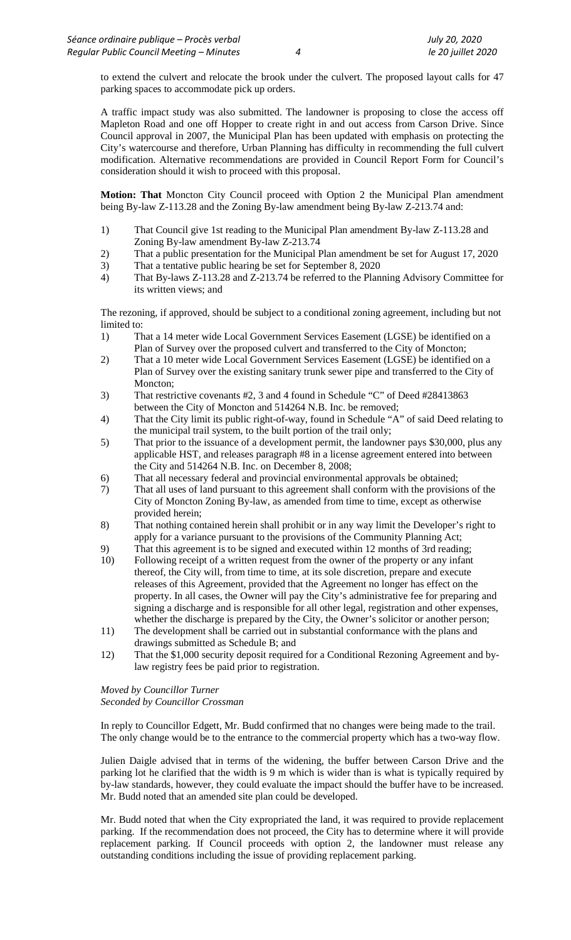to extend the culvert and relocate the brook under the culvert. The proposed layout calls for 47 parking spaces to accommodate pick up orders.

A traffic impact study was also submitted. The landowner is proposing to close the access off Mapleton Road and one off Hopper to create right in and out access from Carson Drive. Since Council approval in 2007, the Municipal Plan has been updated with emphasis on protecting the City's watercourse and therefore, Urban Planning has difficulty in recommending the full culvert modification. Alternative recommendations are provided in Council Report Form for Council's consideration should it wish to proceed with this proposal.

**Motion: That** Moncton City Council proceed with Option 2 the Municipal Plan amendment being By-law Z-113.28 and the Zoning By-law amendment being By-law Z-213.74 and:

- 1) That Council give 1st reading to the Municipal Plan amendment By-law Z-113.28 and Zoning By-law amendment By-law Z-213.74
- 2) That a public presentation for the Municipal Plan amendment be set for August 17, 2020
- 3) That a tentative public hearing be set for September 8, 2020
- 4) That By-laws Z-113.28 and Z-213.74 be referred to the Planning Advisory Committee for its written views; and

The rezoning, if approved, should be subject to a conditional zoning agreement, including but not limited to:

- 1) That a 14 meter wide Local Government Services Easement (LGSE) be identified on a Plan of Survey over the proposed culvert and transferred to the City of Moncton;
- 2) That a 10 meter wide Local Government Services Easement (LGSE) be identified on a Plan of Survey over the existing sanitary trunk sewer pipe and transferred to the City of Moncton;
- 3) That restrictive covenants #2, 3 and 4 found in Schedule "C" of Deed #28413863 between the City of Moncton and 514264 N.B. Inc. be removed;
- 4) That the City limit its public right-of-way, found in Schedule "A" of said Deed relating to the municipal trail system, to the built portion of the trail only;
- 5) That prior to the issuance of a development permit, the landowner pays \$30,000, plus any applicable HST, and releases paragraph #8 in a license agreement entered into between the City and 514264 N.B. Inc. on December 8, 2008;
- 6) That all necessary federal and provincial environmental approvals be obtained;
- 7) That all uses of land pursuant to this agreement shall conform with the provisions of the City of Moncton Zoning By-law, as amended from time to time, except as otherwise provided herein;
- 8) That nothing contained herein shall prohibit or in any way limit the Developer's right to apply for a variance pursuant to the provisions of the Community Planning Act;
- 9) That this agreement is to be signed and executed within 12 months of 3rd reading;
- 10) Following receipt of a written request from the owner of the property or any infant thereof, the City will, from time to time, at its sole discretion, prepare and execute releases of this Agreement, provided that the Agreement no longer has effect on the property. In all cases, the Owner will pay the City's administrative fee for preparing and signing a discharge and is responsible for all other legal, registration and other expenses, whether the discharge is prepared by the City, the Owner's solicitor or another person;
- 11) The development shall be carried out in substantial conformance with the plans and drawings submitted as Schedule B; and
- 12) That the \$1,000 security deposit required for a Conditional Rezoning Agreement and bylaw registry fees be paid prior to registration.

## *Moved by Councillor Turner*

*Seconded by Councillor Crossman*

In reply to Councillor Edgett, Mr. Budd confirmed that no changes were being made to the trail. The only change would be to the entrance to the commercial property which has a two-way flow.

Julien Daigle advised that in terms of the widening, the buffer between Carson Drive and the parking lot he clarified that the width is 9 m which is wider than is what is typically required by by-law standards, however, they could evaluate the impact should the buffer have to be increased. Mr. Budd noted that an amended site plan could be developed.

Mr. Budd noted that when the City expropriated the land, it was required to provide replacement parking. If the recommendation does not proceed, the City has to determine where it will provide replacement parking. If Council proceeds with option 2, the landowner must release any outstanding conditions including the issue of providing replacement parking.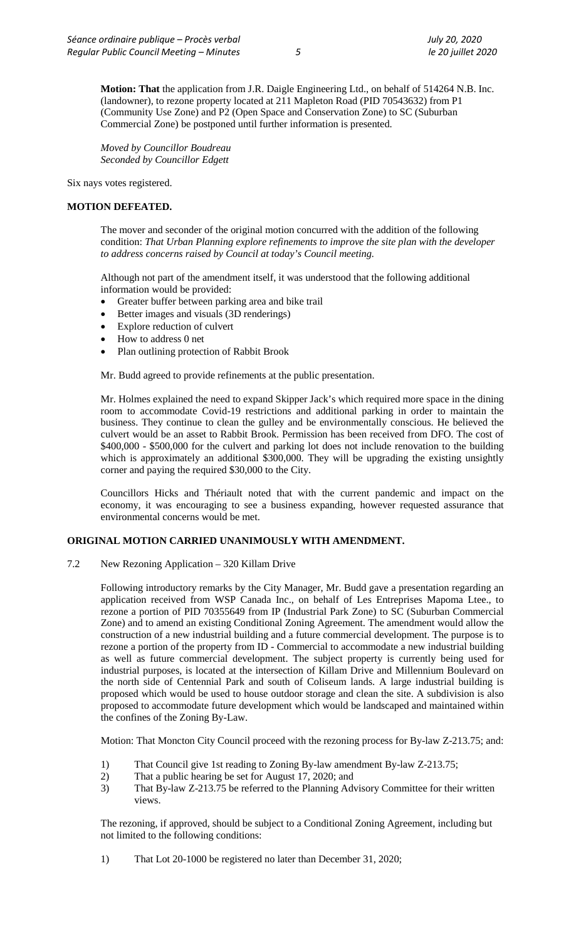**Motion: That** the application from J.R. Daigle Engineering Ltd., on behalf of 514264 N.B. Inc. (landowner), to rezone property located at 211 Mapleton Road (PID 70543632) from P1 (Community Use Zone) and P2 (Open Space and Conservation Zone) to SC (Suburban Commercial Zone) be postponed until further information is presented.

*Moved by Councillor Boudreau Seconded by Councillor Edgett*

Six nays votes registered.

### **MOTION DEFEATED.**

The mover and seconder of the original motion concurred with the addition of the following condition: *That Urban Planning explore refinements to improve the site plan with the developer to address concerns raised by Council at today's Council meeting.* 

Although not part of the amendment itself, it was understood that the following additional information would be provided:

- Greater buffer between parking area and bike trail
- Better images and visuals (3D renderings)
- Explore reduction of culvert
- How to address 0 net
- Plan outlining protection of Rabbit Brook

Mr. Budd agreed to provide refinements at the public presentation.

Mr. Holmes explained the need to expand Skipper Jack's which required more space in the dining room to accommodate Covid-19 restrictions and additional parking in order to maintain the business. They continue to clean the gulley and be environmentally conscious. He believed the culvert would be an asset to Rabbit Brook. Permission has been received from DFO. The cost of \$400,000 - \$500,000 for the culvert and parking lot does not include renovation to the building which is approximately an additional \$300,000. They will be upgrading the existing unsightly corner and paying the required \$30,000 to the City.

Councillors Hicks and Thériault noted that with the current pandemic and impact on the economy, it was encouraging to see a business expanding, however requested assurance that environmental concerns would be met.

### **ORIGINAL MOTION CARRIED UNANIMOUSLY WITH AMENDMENT.**

7.2 New Rezoning Application – 320 Killam Drive

Following introductory remarks by the City Manager, Mr. Budd gave a presentation regarding an application received from WSP Canada Inc., on behalf of Les Entreprises Mapoma Ltee., to rezone a portion of PID 70355649 from IP (Industrial Park Zone) to SC (Suburban Commercial Zone) and to amend an existing Conditional Zoning Agreement. The amendment would allow the construction of a new industrial building and a future commercial development. The purpose is to rezone a portion of the property from ID - Commercial to accommodate a new industrial building as well as future commercial development. The subject property is currently being used for industrial purposes, is located at the intersection of Killam Drive and Millennium Boulevard on the north side of Centennial Park and south of Coliseum lands. A large industrial building is proposed which would be used to house outdoor storage and clean the site. A subdivision is also proposed to accommodate future development which would be landscaped and maintained within the confines of the Zoning By-Law.

Motion: That Moncton City Council proceed with the rezoning process for By-law Z-213.75; and:

- 1) That Council give 1st reading to Zoning By-law amendment By-law Z-213.75;
- 2) That a public hearing be set for August 17, 2020; and
- 3) That By-law Z-213.75 be referred to the Planning Advisory Committee for their written views.

The rezoning, if approved, should be subject to a Conditional Zoning Agreement, including but not limited to the following conditions:

1) That Lot 20-1000 be registered no later than December 31, 2020;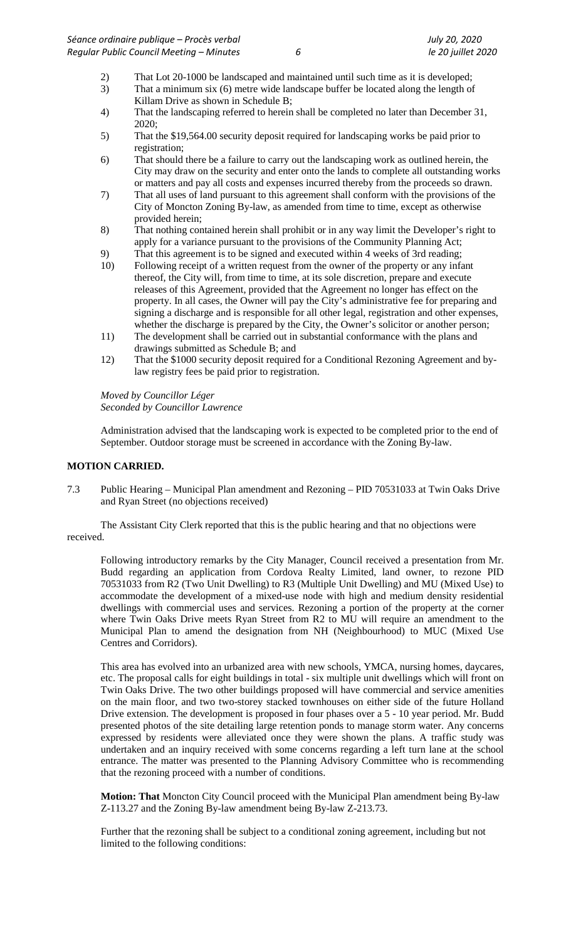- 2) That Lot 20-1000 be landscaped and maintained until such time as it is developed;<br>3) That a minimum six (6) metre wide landscape buffer be located along the length of
- That a minimum six (6) metre wide landscape buffer be located along the length of Killam Drive as shown in Schedule B;
- 4) That the landscaping referred to herein shall be completed no later than December 31, 2020;
- 5) That the \$19,564.00 security deposit required for landscaping works be paid prior to registration;
- 6) That should there be a failure to carry out the landscaping work as outlined herein, the City may draw on the security and enter onto the lands to complete all outstanding works or matters and pay all costs and expenses incurred thereby from the proceeds so drawn.
- 7) That all uses of land pursuant to this agreement shall conform with the provisions of the City of Moncton Zoning By-law, as amended from time to time, except as otherwise provided herein;
- 8) That nothing contained herein shall prohibit or in any way limit the Developer's right to apply for a variance pursuant to the provisions of the Community Planning Act;
- 9) That this agreement is to be signed and executed within 4 weeks of 3rd reading;
- 10) Following receipt of a written request from the owner of the property or any infant thereof, the City will, from time to time, at its sole discretion, prepare and execute releases of this Agreement, provided that the Agreement no longer has effect on the property. In all cases, the Owner will pay the City's administrative fee for preparing and signing a discharge and is responsible for all other legal, registration and other expenses, whether the discharge is prepared by the City, the Owner's solicitor or another person;
- 11) The development shall be carried out in substantial conformance with the plans and drawings submitted as Schedule B; and
- 12) That the \$1000 security deposit required for a Conditional Rezoning Agreement and bylaw registry fees be paid prior to registration.

*Moved by Councillor Léger Seconded by Councillor Lawrence*

Administration advised that the landscaping work is expected to be completed prior to the end of September. Outdoor storage must be screened in accordance with the Zoning By-law.

### **MOTION CARRIED.**

7.3 Public Hearing – Municipal Plan amendment and Rezoning – PID 70531033 at Twin Oaks Drive and Ryan Street (no objections received)

The Assistant City Clerk reported that this is the public hearing and that no objections were received.

Following introductory remarks by the City Manager, Council received a presentation from Mr. Budd regarding an application from Cordova Realty Limited, land owner, to rezone PID 70531033 from R2 (Two Unit Dwelling) to R3 (Multiple Unit Dwelling) and MU (Mixed Use) to accommodate the development of a mixed-use node with high and medium density residential dwellings with commercial uses and services. Rezoning a portion of the property at the corner where Twin Oaks Drive meets Ryan Street from R2 to MU will require an amendment to the Municipal Plan to amend the designation from NH (Neighbourhood) to MUC (Mixed Use Centres and Corridors).

This area has evolved into an urbanized area with new schools, YMCA, nursing homes, daycares, etc. The proposal calls for eight buildings in total - six multiple unit dwellings which will front on Twin Oaks Drive. The two other buildings proposed will have commercial and service amenities on the main floor, and two two-storey stacked townhouses on either side of the future Holland Drive extension. The development is proposed in four phases over a 5 - 10 year period. Mr. Budd presented photos of the site detailing large retention ponds to manage storm water. Any concerns expressed by residents were alleviated once they were shown the plans. A traffic study was undertaken and an inquiry received with some concerns regarding a left turn lane at the school entrance. The matter was presented to the Planning Advisory Committee who is recommending that the rezoning proceed with a number of conditions.

**Motion: That** Moncton City Council proceed with the Municipal Plan amendment being By-law Z-113.27 and the Zoning By-law amendment being By-law Z-213.73.

Further that the rezoning shall be subject to a conditional zoning agreement, including but not limited to the following conditions: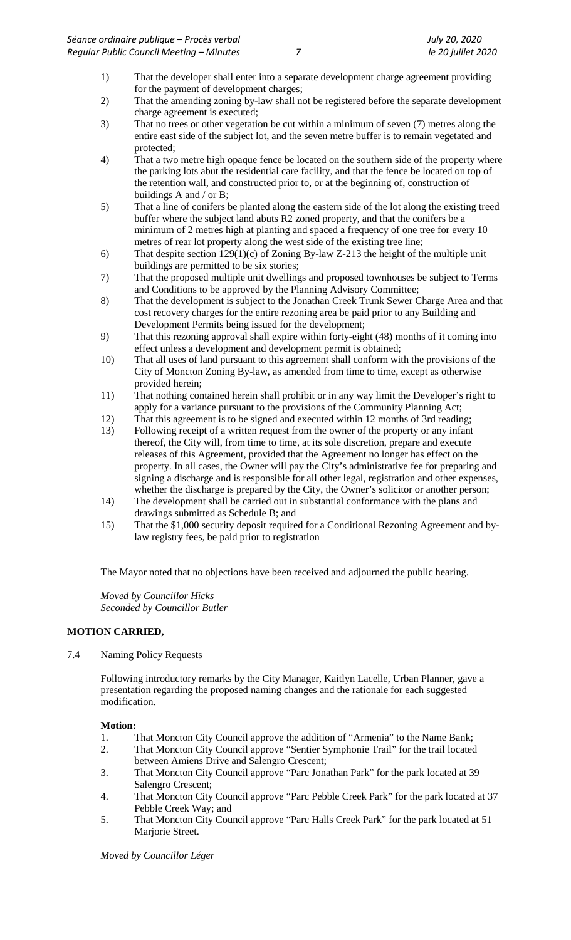- 1) That the developer shall enter into a separate development charge agreement providing for the payment of development charges;
- 2) That the amending zoning by-law shall not be registered before the separate development charge agreement is executed;
- 3) That no trees or other vegetation be cut within a minimum of seven (7) metres along the entire east side of the subject lot, and the seven metre buffer is to remain vegetated and protected;
- 4) That a two metre high opaque fence be located on the southern side of the property where the parking lots abut the residential care facility, and that the fence be located on top of the retention wall, and constructed prior to, or at the beginning of, construction of buildings A and / or B;
- 5) That a line of conifers be planted along the eastern side of the lot along the existing treed buffer where the subject land abuts R2 zoned property, and that the conifers be a minimum of 2 metres high at planting and spaced a frequency of one tree for every 10 metres of rear lot property along the west side of the existing tree line;
- 6) That despite section 129(1)(c) of Zoning By-law Z-213 the height of the multiple unit buildings are permitted to be six stories;
- 7) That the proposed multiple unit dwellings and proposed townhouses be subject to Terms and Conditions to be approved by the Planning Advisory Committee;
- 8) That the development is subject to the Jonathan Creek Trunk Sewer Charge Area and that cost recovery charges for the entire rezoning area be paid prior to any Building and Development Permits being issued for the development;
- 9) That this rezoning approval shall expire within forty-eight (48) months of it coming into effect unless a development and development permit is obtained;
- 10) That all uses of land pursuant to this agreement shall conform with the provisions of the City of Moncton Zoning By-law, as amended from time to time, except as otherwise provided herein;
- 11) That nothing contained herein shall prohibit or in any way limit the Developer's right to apply for a variance pursuant to the provisions of the Community Planning Act;
- 12) That this agreement is to be signed and executed within 12 months of 3rd reading;
- 13) Following receipt of a written request from the owner of the property or any infant thereof, the City will, from time to time, at its sole discretion, prepare and execute releases of this Agreement, provided that the Agreement no longer has effect on the property. In all cases, the Owner will pay the City's administrative fee for preparing and signing a discharge and is responsible for all other legal, registration and other expenses, whether the discharge is prepared by the City, the Owner's solicitor or another person;
- 14) The development shall be carried out in substantial conformance with the plans and drawings submitted as Schedule B; and
- 15) That the \$1,000 security deposit required for a Conditional Rezoning Agreement and bylaw registry fees, be paid prior to registration

The Mayor noted that no objections have been received and adjourned the public hearing.

*Moved by Councillor Hicks Seconded by Councillor Butler*

### **MOTION CARRIED,**

7.4 Naming Policy Requests

Following introductory remarks by the City Manager, Kaitlyn Lacelle, Urban Planner, gave a presentation regarding the proposed naming changes and the rationale for each suggested modification.

### **Motion:**

- 1. That Moncton City Council approve the addition of "Armenia" to the Name Bank;
- 2. That Moncton City Council approve "Sentier Symphonie Trail" for the trail located between Amiens Drive and Salengro Crescent;
- 3. That Moncton City Council approve "Parc Jonathan Park" for the park located at 39 Salengro Crescent;
- 4. That Moncton City Council approve "Parc Pebble Creek Park" for the park located at 37 Pebble Creek Way; and
- 5. That Moncton City Council approve "Parc Halls Creek Park" for the park located at 51 Marjorie Street.

*Moved by Councillor Léger*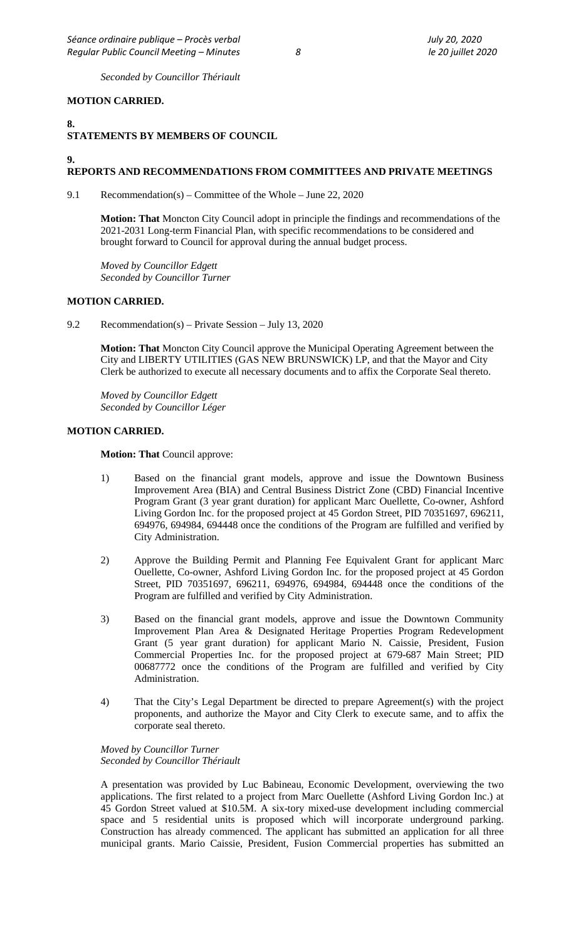*Seconded by Councillor Thériault*

### **MOTION CARRIED.**

# **8. STATEMENTS BY MEMBERS OF COUNCIL**

## **9.**

### **REPORTS AND RECOMMENDATIONS FROM COMMITTEES AND PRIVATE MEETINGS**

9.1 Recommendation(s) – Committee of the Whole – June 22, 2020

**Motion: That** Moncton City Council adopt in principle the findings and recommendations of the 2021-2031 Long-term Financial Plan, with specific recommendations to be considered and brought forward to Council for approval during the annual budget process.

*Moved by Councillor Edgett Seconded by Councillor Turner*

### **MOTION CARRIED.**

9.2 Recommendation(s) – Private Session – July 13, 2020

**Motion: That** Moncton City Council approve the Municipal Operating Agreement between the City and LIBERTY UTILITIES (GAS NEW BRUNSWICK) LP, and that the Mayor and City Clerk be authorized to execute all necessary documents and to affix the Corporate Seal thereto.

*Moved by Councillor Edgett Seconded by Councillor Léger*

#### **MOTION CARRIED.**

**Motion: That** Council approve:

- 1) Based on the financial grant models, approve and issue the Downtown Business Improvement Area (BIA) and Central Business District Zone (CBD) Financial Incentive Program Grant (3 year grant duration) for applicant Marc Ouellette, Co-owner, Ashford Living Gordon Inc. for the proposed project at 45 Gordon Street, PID 70351697, 696211, 694976, 694984, 694448 once the conditions of the Program are fulfilled and verified by City Administration.
- 2) Approve the Building Permit and Planning Fee Equivalent Grant for applicant Marc Ouellette, Co-owner, Ashford Living Gordon Inc. for the proposed project at 45 Gordon Street, PID 70351697, 696211, 694976, 694984, 694448 once the conditions of the Program are fulfilled and verified by City Administration.
- 3) Based on the financial grant models, approve and issue the Downtown Community Improvement Plan Area & Designated Heritage Properties Program Redevelopment Grant (5 year grant duration) for applicant Mario N. Caissie, President, Fusion Commercial Properties Inc. for the proposed project at 679-687 Main Street; PID 00687772 once the conditions of the Program are fulfilled and verified by City Administration.
- 4) That the City's Legal Department be directed to prepare Agreement(s) with the project proponents, and authorize the Mayor and City Clerk to execute same, and to affix the corporate seal thereto.

*Moved by Councillor Turner Seconded by Councillor Thériault*

A presentation was provided by Luc Babineau, Economic Development, overviewing the two applications. The first related to a project from Marc Ouellette (Ashford Living Gordon Inc.) at 45 Gordon Street valued at \$10.5M. A six-tory mixed-use development including commercial space and 5 residential units is proposed which will incorporate underground parking. Construction has already commenced. The applicant has submitted an application for all three municipal grants. Mario Caissie, President, Fusion Commercial properties has submitted an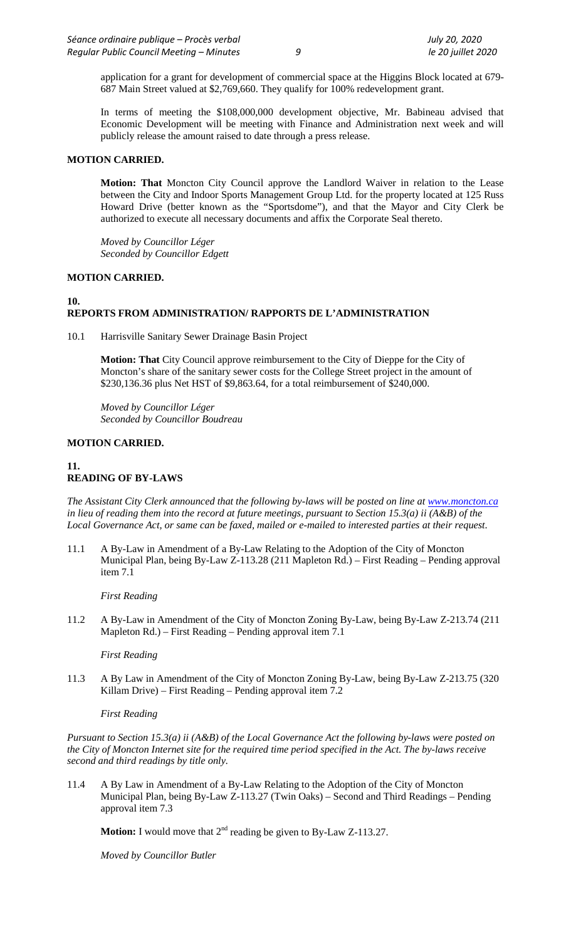application for a grant for development of commercial space at the Higgins Block located at 679- 687 Main Street valued at \$2,769,660. They qualify for 100% redevelopment grant.

In terms of meeting the \$108,000,000 development objective, Mr. Babineau advised that Economic Development will be meeting with Finance and Administration next week and will publicly release the amount raised to date through a press release.

### **MOTION CARRIED.**

**Motion: That** Moncton City Council approve the Landlord Waiver in relation to the Lease between the City and Indoor Sports Management Group Ltd. for the property located at 125 Russ Howard Drive (better known as the "Sportsdome"), and that the Mayor and City Clerk be authorized to execute all necessary documents and affix the Corporate Seal thereto.

*Moved by Councillor Léger Seconded by Councillor Edgett*

### **MOTION CARRIED.**

#### **10. REPORTS FROM ADMINISTRATION/ RAPPORTS DE L'ADMINISTRATION**

10.1 Harrisville Sanitary Sewer Drainage Basin Project

**Motion: That** City Council approve reimbursement to the City of Dieppe for the City of Moncton's share of the sanitary sewer costs for the College Street project in the amount of \$230,136.36 plus Net HST of \$9,863.64, for a total reimbursement of \$240,000.

*Moved by Councillor Léger Seconded by Councillor Boudreau*

### **MOTION CARRIED.**

### **11. READING OF BY-LAWS**

*The Assistant City Clerk announced that the following by-laws will be posted on line at [www.moncton.ca](http://www.moncton.ca/) in lieu of reading them into the record at future meetings, pursuant to Section 15.3(a) ii (A&B) of the Local Governance Act, or same can be faxed, mailed or e-mailed to interested parties at their request*.

11.1 A By-Law in Amendment of a By-Law Relating to the Adoption of the City of Moncton Municipal Plan, being By-Law Z-113.28 (211 Mapleton Rd.) – First Reading – Pending approval item 7.1

*First Reading* 

11.2 A By-Law in Amendment of the City of Moncton Zoning By-Law, being By-Law Z-213.74 (211 Mapleton Rd.) – First Reading – Pending approval item 7.1

*First Reading*

11.3 A By Law in Amendment of the City of Moncton Zoning By-Law, being By-Law Z-213.75 (320 Killam Drive) – First Reading – Pending approval item 7.2

### *First Reading*

*Pursuant to Section 15.3(a) ii (A&B) of the Local Governance Act the following by-laws were posted on the City of Moncton Internet site for the required time period specified in the Act. The by-laws receive second and third readings by title only.*

11.4 A By Law in Amendment of a By-Law Relating to the Adoption of the City of Moncton Municipal Plan, being By-Law Z-113.27 (Twin Oaks) – Second and Third Readings – Pending approval item 7.3

**Motion:** I would move that  $2^{nd}$  reading be given to By-Law Z-113.27.

*Moved by Councillor Butler*